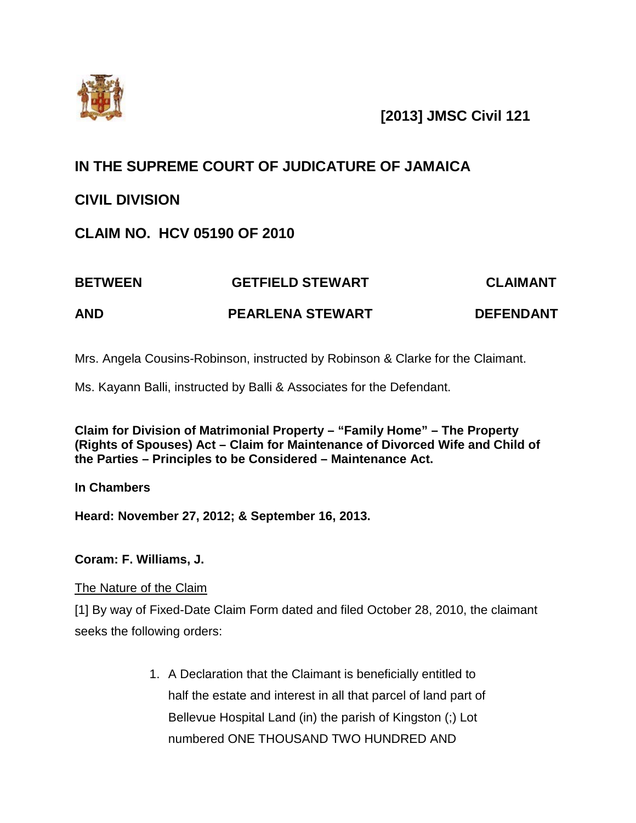

# **[2013] JMSC Civil 121**

# **IN THE SUPREME COURT OF JUDICATURE OF JAMAICA**

# **CIVIL DIVISION**

# **CLAIM NO. HCV 05190 OF 2010**

# **BETWEEN GETFIELD STEWART CLAIMANT AND PEARLENA STEWART DEFENDANT**

Mrs. Angela Cousins-Robinson, instructed by Robinson & Clarke for the Claimant.

Ms. Kayann Balli, instructed by Balli & Associates for the Defendant.

**Claim for Division of Matrimonial Property – "Family Home" – The Property (Rights of Spouses) Act – Claim for Maintenance of Divorced Wife and Child of the Parties – Principles to be Considered – Maintenance Act.**

**In Chambers**

**Heard: November 27, 2012; & September 16, 2013.**

# **Coram: F. Williams, J.**

The Nature of the Claim

[1] By way of Fixed-Date Claim Form dated and filed October 28, 2010, the claimant seeks the following orders:

> 1. A Declaration that the Claimant is beneficially entitled to half the estate and interest in all that parcel of land part of Bellevue Hospital Land (in) the parish of Kingston (;) Lot numbered ONE THOUSAND TWO HUNDRED AND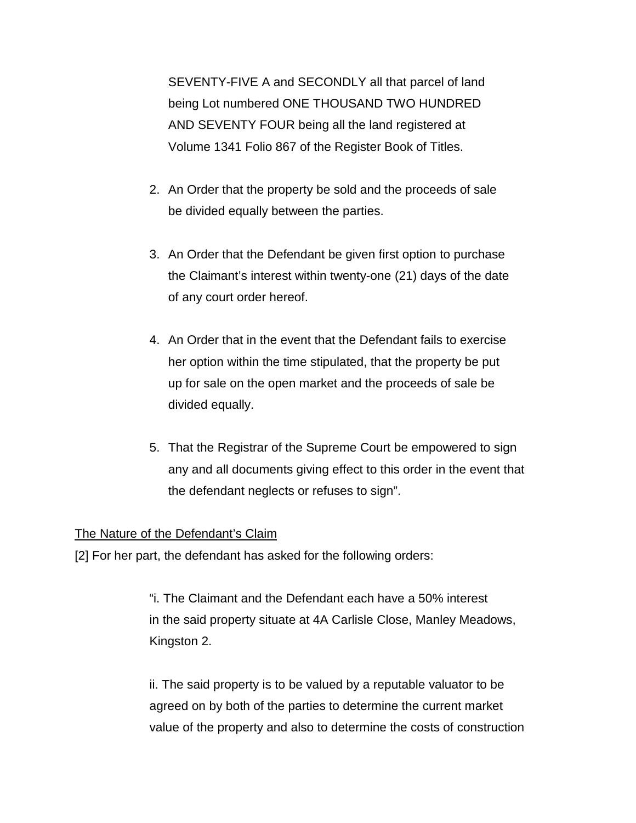SEVENTY-FIVE A and SECONDLY all that parcel of land being Lot numbered ONE THOUSAND TWO HUNDRED AND SEVENTY FOUR being all the land registered at Volume 1341 Folio 867 of the Register Book of Titles.

- 2. An Order that the property be sold and the proceeds of sale be divided equally between the parties.
- 3. An Order that the Defendant be given first option to purchase the Claimant's interest within twenty-one (21) days of the date of any court order hereof.
- 4. An Order that in the event that the Defendant fails to exercise her option within the time stipulated, that the property be put up for sale on the open market and the proceeds of sale be divided equally.
- 5. That the Registrar of the Supreme Court be empowered to sign any and all documents giving effect to this order in the event that the defendant neglects or refuses to sign".

# The Nature of the Defendant's Claim

[2] For her part, the defendant has asked for the following orders:

"i. The Claimant and the Defendant each have a 50% interest in the said property situate at 4A Carlisle Close, Manley Meadows, Kingston 2.

ii. The said property is to be valued by a reputable valuator to be agreed on by both of the parties to determine the current market value of the property and also to determine the costs of construction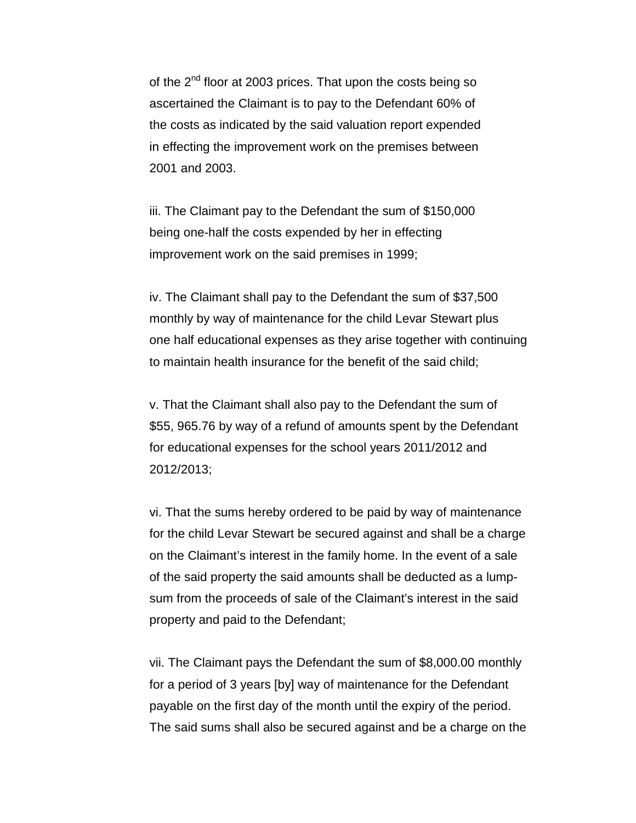of the 2<sup>nd</sup> floor at 2003 prices. That upon the costs being so ascertained the Claimant is to pay to the Defendant 60% of the costs as indicated by the said valuation report expended in effecting the improvement work on the premises between 2001 and 2003.

iii. The Claimant pay to the Defendant the sum of \$150,000 being one-half the costs expended by her in effecting improvement work on the said premises in 1999;

iv. The Claimant shall pay to the Defendant the sum of \$37,500 monthly by way of maintenance for the child Levar Stewart plus one half educational expenses as they arise together with continuing to maintain health insurance for the benefit of the said child;

v. That the Claimant shall also pay to the Defendant the sum of \$55, 965.76 by way of a refund of amounts spent by the Defendant for educational expenses for the school years 2011/2012 and 2012/2013;

vi. That the sums hereby ordered to be paid by way of maintenance for the child Levar Stewart be secured against and shall be a charge on the Claimant's interest in the family home. In the event of a sale of the said property the said amounts shall be deducted as a lumpsum from the proceeds of sale of the Claimant's interest in the said property and paid to the Defendant;

vii. The Claimant pays the Defendant the sum of \$8,000.00 monthly for a period of 3 years [by] way of maintenance for the Defendant payable on the first day of the month until the expiry of the period. The said sums shall also be secured against and be a charge on the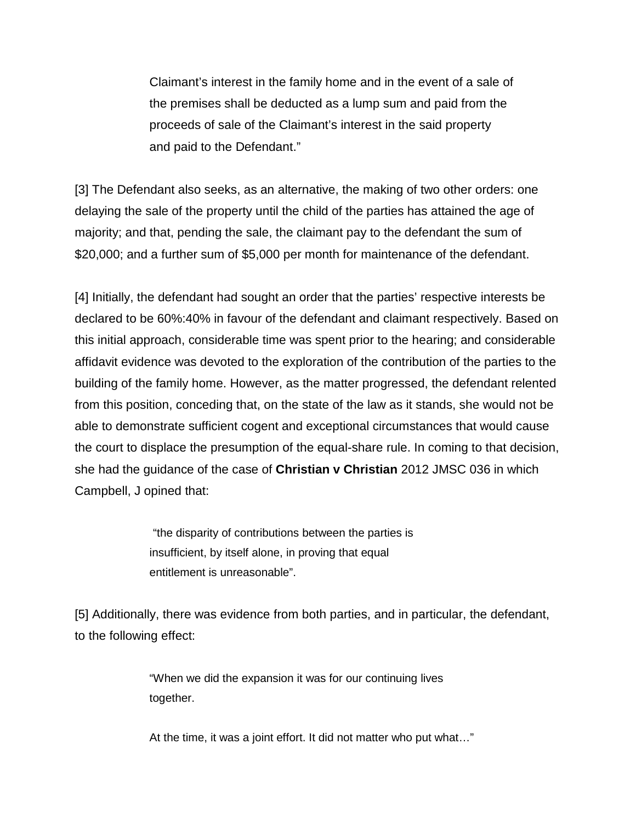Claimant's interest in the family home and in the event of a sale of the premises shall be deducted as a lump sum and paid from the proceeds of sale of the Claimant's interest in the said property and paid to the Defendant."

[3] The Defendant also seeks, as an alternative, the making of two other orders: one delaying the sale of the property until the child of the parties has attained the age of majority; and that, pending the sale, the claimant pay to the defendant the sum of \$20,000; and a further sum of \$5,000 per month for maintenance of the defendant.

[4] Initially, the defendant had sought an order that the parties' respective interests be declared to be 60%:40% in favour of the defendant and claimant respectively. Based on this initial approach, considerable time was spent prior to the hearing; and considerable affidavit evidence was devoted to the exploration of the contribution of the parties to the building of the family home. However, as the matter progressed, the defendant relented from this position, conceding that, on the state of the law as it stands, she would not be able to demonstrate sufficient cogent and exceptional circumstances that would cause the court to displace the presumption of the equal-share rule. In coming to that decision, she had the guidance of the case of **Christian v Christian** 2012 JMSC 036 in which Campbell, J opined that:

> "the disparity of contributions between the parties is insufficient, by itself alone, in proving that equal entitlement is unreasonable".

[5] Additionally, there was evidence from both parties, and in particular, the defendant, to the following effect:

> "When we did the expansion it was for our continuing lives together.

At the time, it was a joint effort. It did not matter who put what…"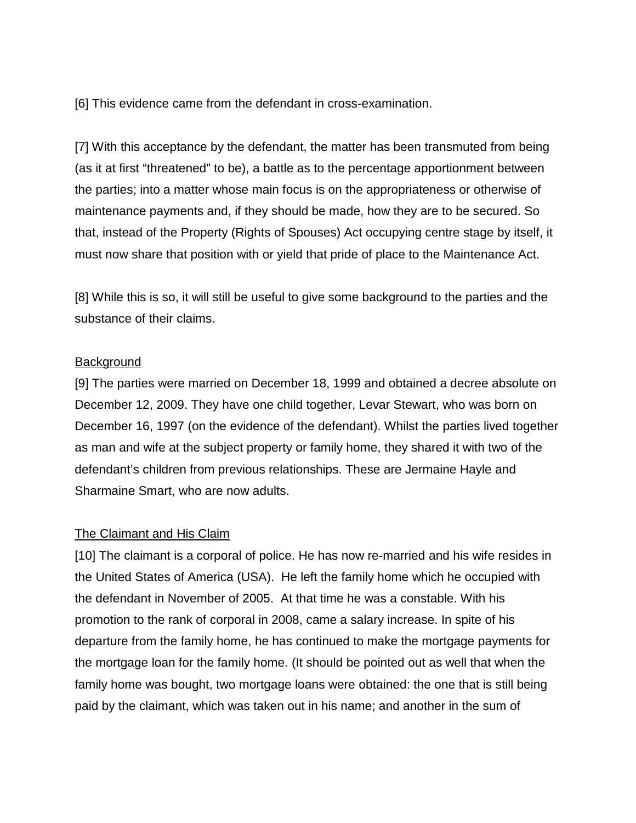[6] This evidence came from the defendant in cross-examination.

[7] With this acceptance by the defendant, the matter has been transmuted from being (as it at first "threatened" to be), a battle as to the percentage apportionment between the parties; into a matter whose main focus is on the appropriateness or otherwise of maintenance payments and, if they should be made, how they are to be secured. So that, instead of the Property (Rights of Spouses) Act occupying centre stage by itself, it must now share that position with or yield that pride of place to the Maintenance Act.

[8] While this is so, it will still be useful to give some background to the parties and the substance of their claims.

#### Background

[9] The parties were married on December 18, 1999 and obtained a decree absolute on December 12, 2009. They have one child together, Levar Stewart, who was born on December 16, 1997 (on the evidence of the defendant). Whilst the parties lived together as man and wife at the subject property or family home, they shared it with two of the defendant's children from previous relationships. These are Jermaine Hayle and Sharmaine Smart, who are now adults.

## The Claimant and His Claim

[10] The claimant is a corporal of police. He has now re-married and his wife resides in the United States of America (USA). He left the family home which he occupied with the defendant in November of 2005. At that time he was a constable. With his promotion to the rank of corporal in 2008, came a salary increase. In spite of his departure from the family home, he has continued to make the mortgage payments for the mortgage loan for the family home. (It should be pointed out as well that when the family home was bought, two mortgage loans were obtained: the one that is still being paid by the claimant, which was taken out in his name; and another in the sum of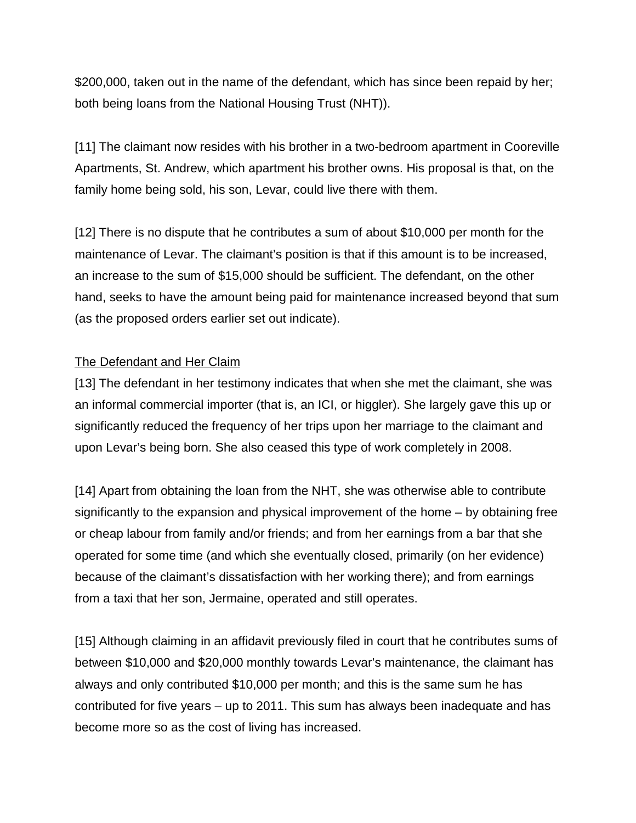\$200,000, taken out in the name of the defendant, which has since been repaid by her; both being loans from the National Housing Trust (NHT)).

[11] The claimant now resides with his brother in a two-bedroom apartment in Cooreville Apartments, St. Andrew, which apartment his brother owns. His proposal is that, on the family home being sold, his son, Levar, could live there with them.

[12] There is no dispute that he contributes a sum of about \$10,000 per month for the maintenance of Levar. The claimant's position is that if this amount is to be increased, an increase to the sum of \$15,000 should be sufficient. The defendant, on the other hand, seeks to have the amount being paid for maintenance increased beyond that sum (as the proposed orders earlier set out indicate).

## The Defendant and Her Claim

[13] The defendant in her testimony indicates that when she met the claimant, she was an informal commercial importer (that is, an ICI, or higgler). She largely gave this up or significantly reduced the frequency of her trips upon her marriage to the claimant and upon Levar's being born. She also ceased this type of work completely in 2008.

[14] Apart from obtaining the loan from the NHT, she was otherwise able to contribute significantly to the expansion and physical improvement of the home – by obtaining free or cheap labour from family and/or friends; and from her earnings from a bar that she operated for some time (and which she eventually closed, primarily (on her evidence) because of the claimant's dissatisfaction with her working there); and from earnings from a taxi that her son, Jermaine, operated and still operates.

[15] Although claiming in an affidavit previously filed in court that he contributes sums of between \$10,000 and \$20,000 monthly towards Levar's maintenance, the claimant has always and only contributed \$10,000 per month; and this is the same sum he has contributed for five years – up to 2011. This sum has always been inadequate and has become more so as the cost of living has increased.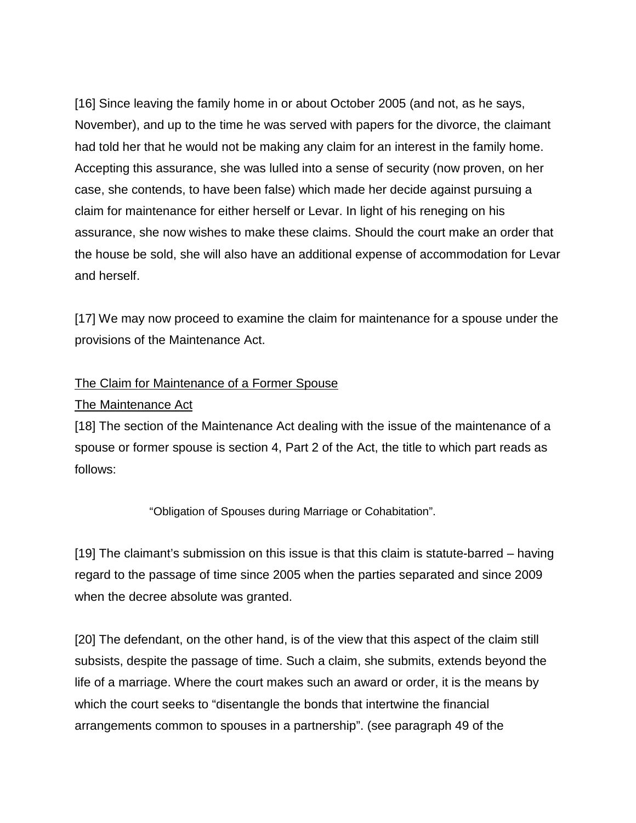[16] Since leaving the family home in or about October 2005 (and not, as he says, November), and up to the time he was served with papers for the divorce, the claimant had told her that he would not be making any claim for an interest in the family home. Accepting this assurance, she was lulled into a sense of security (now proven, on her case, she contends, to have been false) which made her decide against pursuing a claim for maintenance for either herself or Levar. In light of his reneging on his assurance, she now wishes to make these claims. Should the court make an order that the house be sold, she will also have an additional expense of accommodation for Levar and herself.

[17] We may now proceed to examine the claim for maintenance for a spouse under the provisions of the Maintenance Act.

## The Claim for Maintenance of a Former Spouse

#### The Maintenance Act

[18] The section of the Maintenance Act dealing with the issue of the maintenance of a spouse or former spouse is section 4, Part 2 of the Act, the title to which part reads as follows:

"Obligation of Spouses during Marriage or Cohabitation".

[19] The claimant's submission on this issue is that this claim is statute-barred – having regard to the passage of time since 2005 when the parties separated and since 2009 when the decree absolute was granted.

[20] The defendant, on the other hand, is of the view that this aspect of the claim still subsists, despite the passage of time. Such a claim, she submits, extends beyond the life of a marriage. Where the court makes such an award or order, it is the means by which the court seeks to "disentangle the bonds that intertwine the financial arrangements common to spouses in a partnership". (see paragraph 49 of the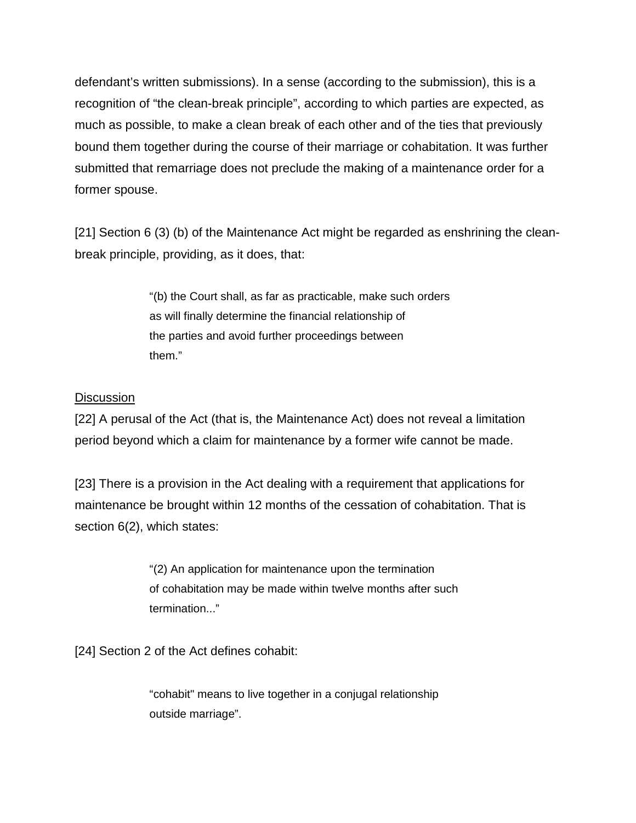defendant's written submissions). In a sense (according to the submission), this is a recognition of "the clean-break principle", according to which parties are expected, as much as possible, to make a clean break of each other and of the ties that previously bound them together during the course of their marriage or cohabitation. It was further submitted that remarriage does not preclude the making of a maintenance order for a former spouse.

[21] Section 6 (3) (b) of the Maintenance Act might be regarded as enshrining the cleanbreak principle, providing, as it does, that:

> "(b) the Court shall, as far as practicable, make such orders as will finally determine the financial relationship of the parties and avoid further proceedings between them."

# **Discussion**

[22] A perusal of the Act (that is, the Maintenance Act) does not reveal a limitation period beyond which a claim for maintenance by a former wife cannot be made.

[23] There is a provision in the Act dealing with a requirement that applications for maintenance be brought within 12 months of the cessation of cohabitation. That is section 6(2), which states:

> "(2) An application for maintenance upon the termination of cohabitation may be made within twelve months after such termination..."

[24] Section 2 of the Act defines cohabit:

"cohabit" means to live together in a conjugal relationship outside marriage".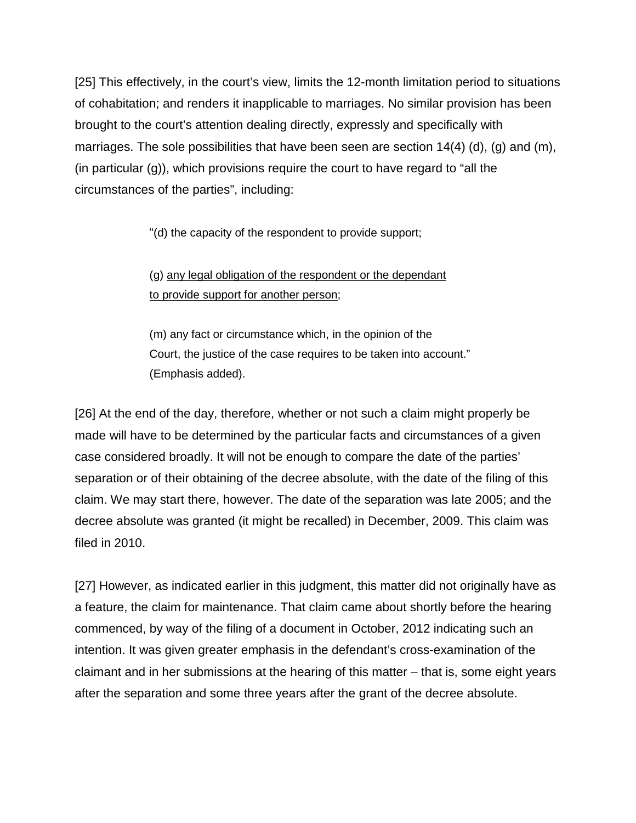[25] This effectively, in the court's view, limits the 12-month limitation period to situations of cohabitation; and renders it inapplicable to marriages. No similar provision has been brought to the court's attention dealing directly, expressly and specifically with marriages. The sole possibilities that have been seen are section  $14(4)$  (d), (g) and (m), (in particular (g)), which provisions require the court to have regard to "all the circumstances of the parties", including:

"(d) the capacity of the respondent to provide support;

# (g) any legal obligation of the respondent or the dependant to provide support for another person;

(m) any fact or circumstance which, in the opinion of the Court, the justice of the case requires to be taken into account." (Emphasis added).

[26] At the end of the day, therefore, whether or not such a claim might properly be made will have to be determined by the particular facts and circumstances of a given case considered broadly. It will not be enough to compare the date of the parties' separation or of their obtaining of the decree absolute, with the date of the filing of this claim. We may start there, however. The date of the separation was late 2005; and the decree absolute was granted (it might be recalled) in December, 2009. This claim was filed in 2010.

[27] However, as indicated earlier in this judgment, this matter did not originally have as a feature, the claim for maintenance. That claim came about shortly before the hearing commenced, by way of the filing of a document in October, 2012 indicating such an intention. It was given greater emphasis in the defendant's cross-examination of the claimant and in her submissions at the hearing of this matter – that is, some eight years after the separation and some three years after the grant of the decree absolute.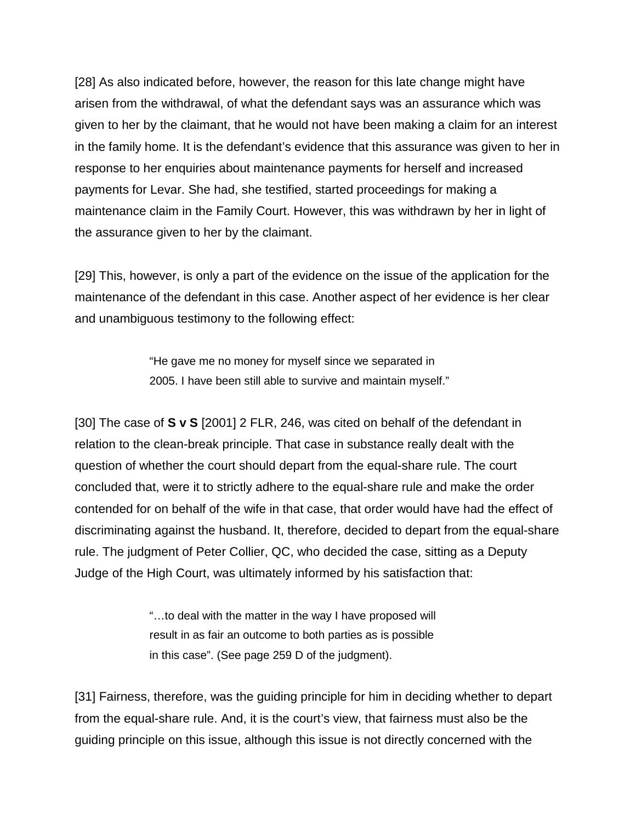[28] As also indicated before, however, the reason for this late change might have arisen from the withdrawal, of what the defendant says was an assurance which was given to her by the claimant, that he would not have been making a claim for an interest in the family home. It is the defendant's evidence that this assurance was given to her in response to her enquiries about maintenance payments for herself and increased payments for Levar. She had, she testified, started proceedings for making a maintenance claim in the Family Court. However, this was withdrawn by her in light of the assurance given to her by the claimant.

[29] This, however, is only a part of the evidence on the issue of the application for the maintenance of the defendant in this case. Another aspect of her evidence is her clear and unambiguous testimony to the following effect:

> "He gave me no money for myself since we separated in 2005. I have been still able to survive and maintain myself."

[30] The case of **S v S** [2001] 2 FLR, 246, was cited on behalf of the defendant in relation to the clean-break principle. That case in substance really dealt with the question of whether the court should depart from the equal-share rule. The court concluded that, were it to strictly adhere to the equal-share rule and make the order contended for on behalf of the wife in that case, that order would have had the effect of discriminating against the husband. It, therefore, decided to depart from the equal-share rule. The judgment of Peter Collier, QC, who decided the case, sitting as a Deputy Judge of the High Court, was ultimately informed by his satisfaction that:

> "…to deal with the matter in the way I have proposed will result in as fair an outcome to both parties as is possible in this case". (See page 259 D of the judgment).

[31] Fairness, therefore, was the guiding principle for him in deciding whether to depart from the equal-share rule. And, it is the court's view, that fairness must also be the guiding principle on this issue, although this issue is not directly concerned with the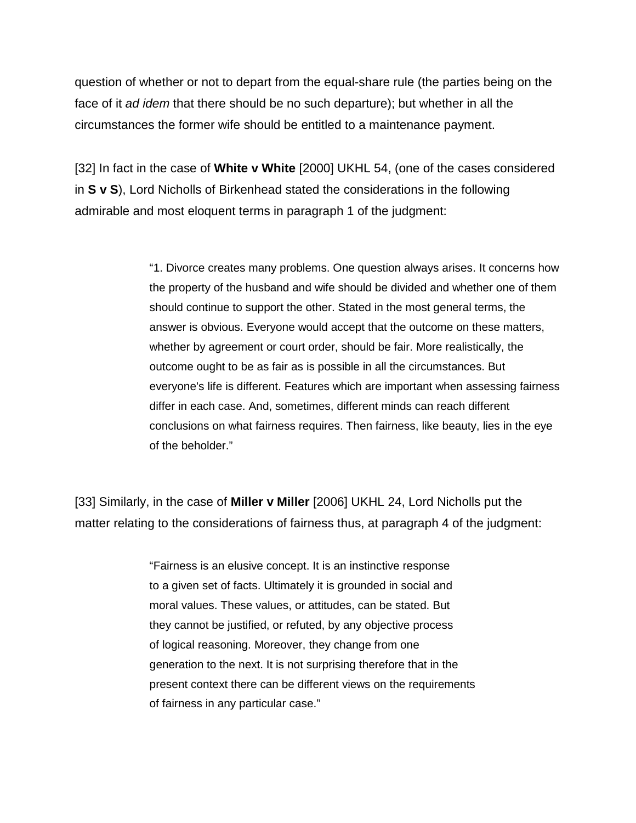question of whether or not to depart from the equal-share rule (the parties being on the face of it *ad idem* that there should be no such departure); but whether in all the circumstances the former wife should be entitled to a maintenance payment.

[32] In fact in the case of **White v White** [2000] UKHL 54, (one of the cases considered in **S v S**), Lord Nicholls of Birkenhead stated the considerations in the following admirable and most eloquent terms in paragraph 1 of the judgment:

> "1. Divorce creates many problems. One question always arises. It concerns how the property of the husband and wife should be divided and whether one of them should continue to support the other. Stated in the most general terms, the answer is obvious. Everyone would accept that the outcome on these matters, whether by agreement or court order, should be fair. More realistically, the outcome ought to be as fair as is possible in all the circumstances. But everyone's life is different. Features which are important when assessing fairness differ in each case. And, sometimes, different minds can reach different conclusions on what fairness requires. Then fairness, like beauty, lies in the eye of the beholder."

[33] Similarly, in the case of **Miller v Miller** [2006] UKHL 24, Lord Nicholls put the matter relating to the considerations of fairness thus, at paragraph 4 of the judgment:

> "Fairness is an elusive concept. It is an instinctive response to a given set of facts. Ultimately it is grounded in social and moral values. These values, or attitudes, can be stated. But they cannot be justified, or refuted, by any objective process of logical reasoning. Moreover, they change from one generation to the next. It is not surprising therefore that in the present context there can be different views on the requirements of fairness in any particular case."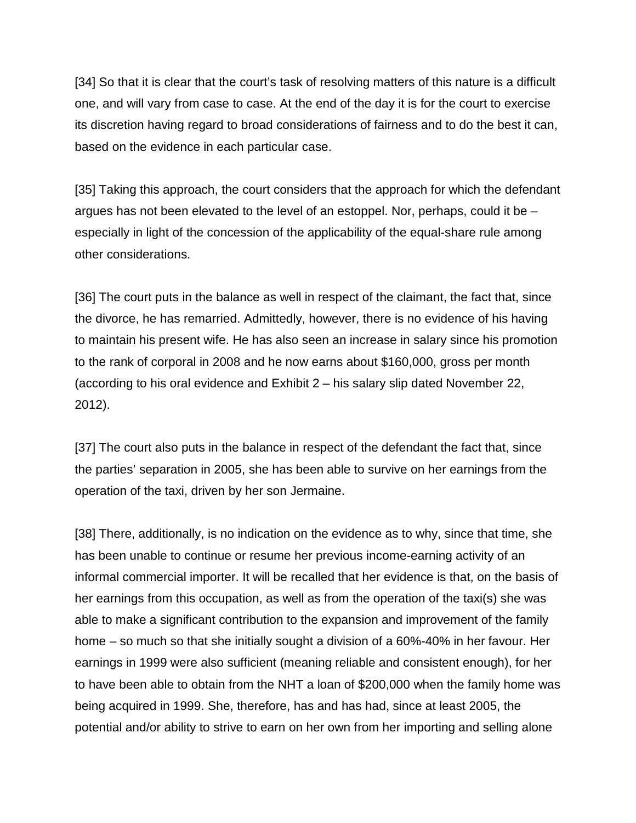[34] So that it is clear that the court's task of resolving matters of this nature is a difficult one, and will vary from case to case. At the end of the day it is for the court to exercise its discretion having regard to broad considerations of fairness and to do the best it can, based on the evidence in each particular case.

[35] Taking this approach, the court considers that the approach for which the defendant argues has not been elevated to the level of an estoppel. Nor, perhaps, could it be – especially in light of the concession of the applicability of the equal-share rule among other considerations.

[36] The court puts in the balance as well in respect of the claimant, the fact that, since the divorce, he has remarried. Admittedly, however, there is no evidence of his having to maintain his present wife. He has also seen an increase in salary since his promotion to the rank of corporal in 2008 and he now earns about \$160,000, gross per month (according to his oral evidence and Exhibit 2 – his salary slip dated November 22, 2012).

[37] The court also puts in the balance in respect of the defendant the fact that, since the parties' separation in 2005, she has been able to survive on her earnings from the operation of the taxi, driven by her son Jermaine.

[38] There, additionally, is no indication on the evidence as to why, since that time, she has been unable to continue or resume her previous income-earning activity of an informal commercial importer. It will be recalled that her evidence is that, on the basis of her earnings from this occupation, as well as from the operation of the taxi(s) she was able to make a significant contribution to the expansion and improvement of the family home – so much so that she initially sought a division of a 60%-40% in her favour. Her earnings in 1999 were also sufficient (meaning reliable and consistent enough), for her to have been able to obtain from the NHT a loan of \$200,000 when the family home was being acquired in 1999. She, therefore, has and has had, since at least 2005, the potential and/or ability to strive to earn on her own from her importing and selling alone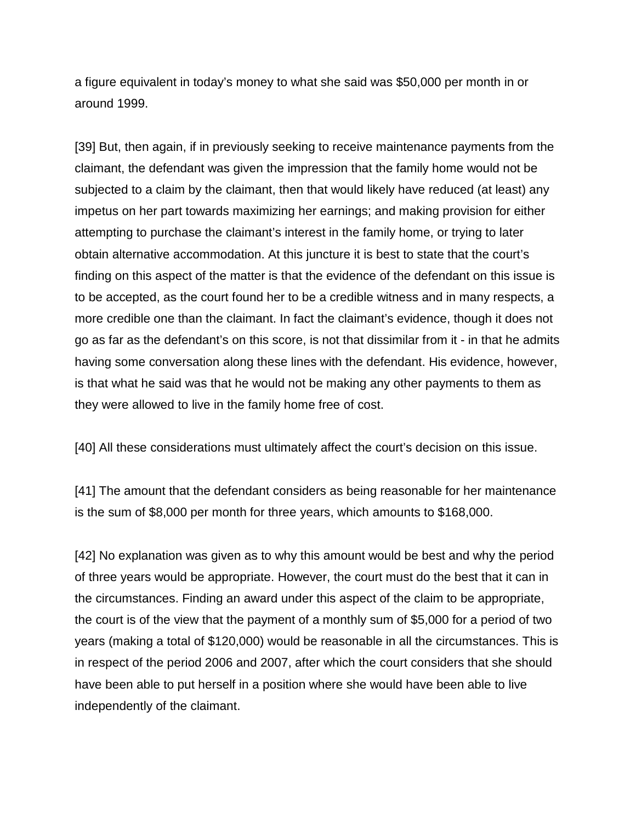a figure equivalent in today's money to what she said was \$50,000 per month in or around 1999.

[39] But, then again, if in previously seeking to receive maintenance payments from the claimant, the defendant was given the impression that the family home would not be subjected to a claim by the claimant, then that would likely have reduced (at least) any impetus on her part towards maximizing her earnings; and making provision for either attempting to purchase the claimant's interest in the family home, or trying to later obtain alternative accommodation. At this juncture it is best to state that the court's finding on this aspect of the matter is that the evidence of the defendant on this issue is to be accepted, as the court found her to be a credible witness and in many respects, a more credible one than the claimant. In fact the claimant's evidence, though it does not go as far as the defendant's on this score, is not that dissimilar from it - in that he admits having some conversation along these lines with the defendant. His evidence, however, is that what he said was that he would not be making any other payments to them as they were allowed to live in the family home free of cost.

[40] All these considerations must ultimately affect the court's decision on this issue.

[41] The amount that the defendant considers as being reasonable for her maintenance is the sum of \$8,000 per month for three years, which amounts to \$168,000.

[42] No explanation was given as to why this amount would be best and why the period of three years would be appropriate. However, the court must do the best that it can in the circumstances. Finding an award under this aspect of the claim to be appropriate, the court is of the view that the payment of a monthly sum of \$5,000 for a period of two years (making a total of \$120,000) would be reasonable in all the circumstances. This is in respect of the period 2006 and 2007, after which the court considers that she should have been able to put herself in a position where she would have been able to live independently of the claimant.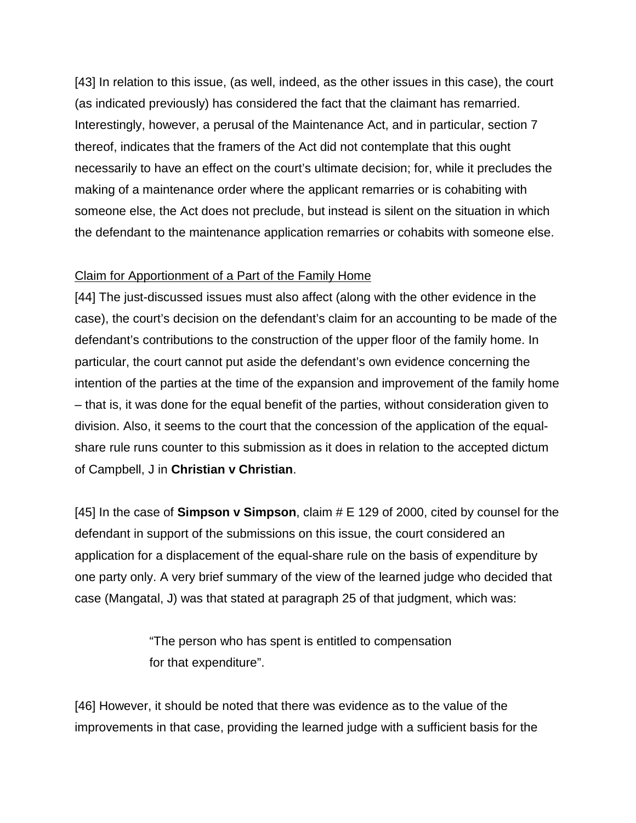[43] In relation to this issue, (as well, indeed, as the other issues in this case), the court (as indicated previously) has considered the fact that the claimant has remarried. Interestingly, however, a perusal of the Maintenance Act, and in particular, section 7 thereof, indicates that the framers of the Act did not contemplate that this ought necessarily to have an effect on the court's ultimate decision; for, while it precludes the making of a maintenance order where the applicant remarries or is cohabiting with someone else, the Act does not preclude, but instead is silent on the situation in which the defendant to the maintenance application remarries or cohabits with someone else.

#### Claim for Apportionment of a Part of the Family Home

[44] The just-discussed issues must also affect (along with the other evidence in the case), the court's decision on the defendant's claim for an accounting to be made of the defendant's contributions to the construction of the upper floor of the family home. In particular, the court cannot put aside the defendant's own evidence concerning the intention of the parties at the time of the expansion and improvement of the family home – that is, it was done for the equal benefit of the parties, without consideration given to division. Also, it seems to the court that the concession of the application of the equalshare rule runs counter to this submission as it does in relation to the accepted dictum of Campbell, J in **Christian v Christian**.

[45] In the case of **Simpson v Simpson**, claim # E 129 of 2000, cited by counsel for the defendant in support of the submissions on this issue, the court considered an application for a displacement of the equal-share rule on the basis of expenditure by one party only. A very brief summary of the view of the learned judge who decided that case (Mangatal, J) was that stated at paragraph 25 of that judgment, which was:

> "The person who has spent is entitled to compensation for that expenditure".

[46] However, it should be noted that there was evidence as to the value of the improvements in that case, providing the learned judge with a sufficient basis for the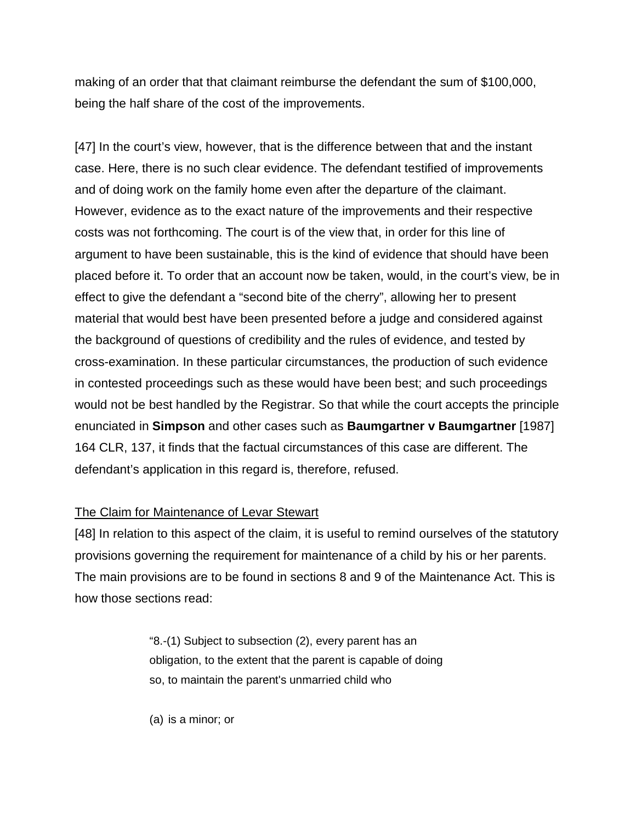making of an order that that claimant reimburse the defendant the sum of \$100,000, being the half share of the cost of the improvements.

[47] In the court's view, however, that is the difference between that and the instant case. Here, there is no such clear evidence. The defendant testified of improvements and of doing work on the family home even after the departure of the claimant. However, evidence as to the exact nature of the improvements and their respective costs was not forthcoming. The court is of the view that, in order for this line of argument to have been sustainable, this is the kind of evidence that should have been placed before it. To order that an account now be taken, would, in the court's view, be in effect to give the defendant a "second bite of the cherry", allowing her to present material that would best have been presented before a judge and considered against the background of questions of credibility and the rules of evidence, and tested by cross-examination. In these particular circumstances, the production of such evidence in contested proceedings such as these would have been best; and such proceedings would not be best handled by the Registrar. So that while the court accepts the principle enunciated in **Simpson** and other cases such as **Baumgartner v Baumgartner** [1987] 164 CLR, 137, it finds that the factual circumstances of this case are different. The defendant's application in this regard is, therefore, refused.

#### The Claim for Maintenance of Levar Stewart

[48] In relation to this aspect of the claim, it is useful to remind ourselves of the statutory provisions governing the requirement for maintenance of a child by his or her parents. The main provisions are to be found in sections 8 and 9 of the Maintenance Act. This is how those sections read:

> "8.-(1) Subject to subsection (2), every parent has an obligation, to the extent that the parent is capable of doing so, to maintain the parent's unmarried child who

(a) is a minor; or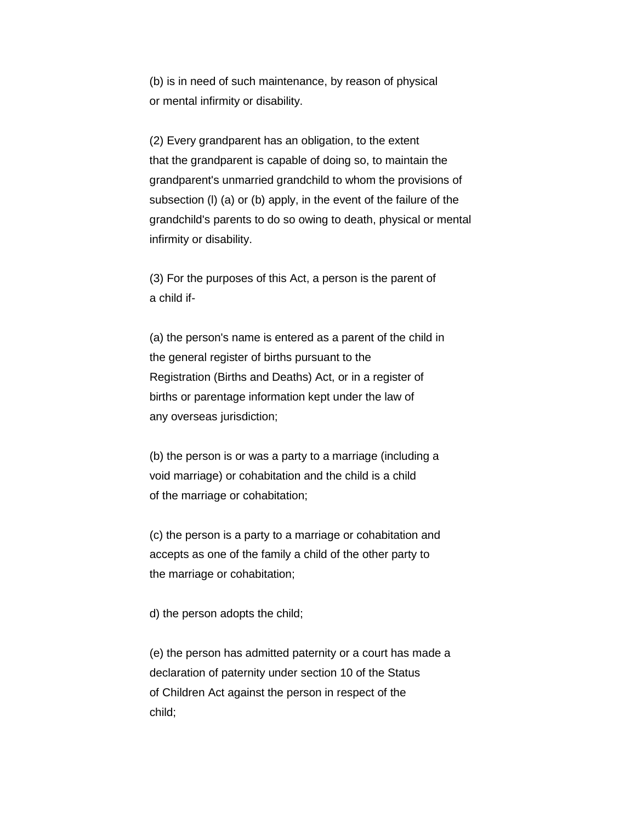(b) is in need of such maintenance, by reason of physical or mental infirmity or disability.

(2) Every grandparent has an obligation, to the extent that the grandparent is capable of doing so, to maintain the grandparent's unmarried grandchild to whom the provisions of subsection (l) (a) or (b) apply, in the event of the failure of the grandchild's parents to do so owing to death, physical or mental infirmity or disability.

(3) For the purposes of this Act, a person is the parent of a child if-

(a) the person's name is entered as a parent of the child in the general register of births pursuant to the Registration (Births and Deaths) Act, or in a register of births or parentage information kept under the law of any overseas jurisdiction;

(b) the person is or was a party to a marriage (including a void marriage) or cohabitation and the child is a child of the marriage or cohabitation;

(c) the person is a party to a marriage or cohabitation and accepts as one of the family a child of the other party to the marriage or cohabitation;

d) the person adopts the child;

(e) the person has admitted paternity or a court has made a declaration of paternity under section 10 of the Status of Children Act against the person in respect of the child;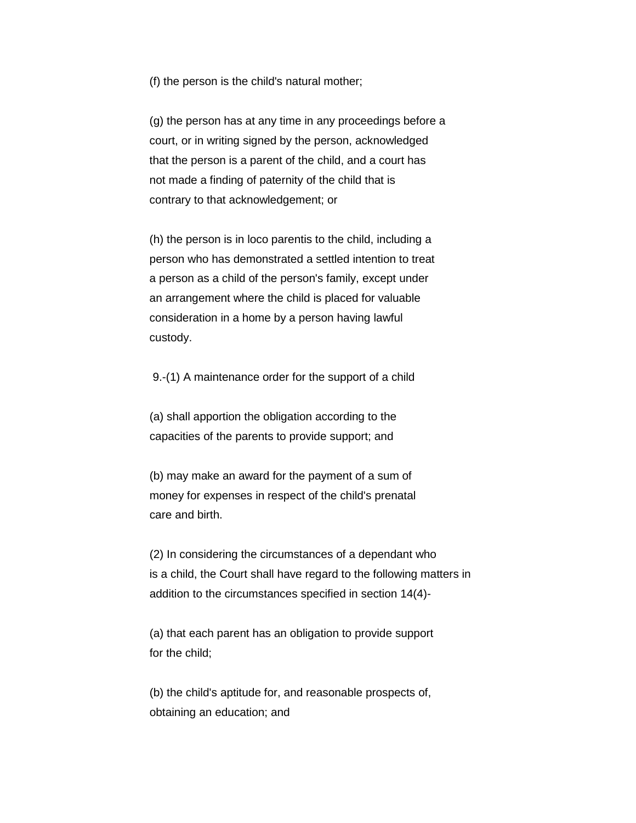(f) the person is the child's natural mother;

(g) the person has at any time in any proceedings before a court, or in writing signed by the person, acknowledged that the person is a parent of the child, and a court has not made a finding of paternity of the child that is contrary to that acknowledgement; or

(h) the person is in loco parentis to the child, including a person who has demonstrated a settled intention to treat a person as a child of the person's family, except under an arrangement where the child is placed for valuable consideration in a home by a person having lawful custody.

9.-(1) A maintenance order for the support of a child

(a) shall apportion the obligation according to the capacities of the parents to provide support; and

(b) may make an award for the payment of a sum of money for expenses in respect of the child's prenatal care and birth.

(2) In considering the circumstances of a dependant who is a child, the Court shall have regard to the following matters in addition to the circumstances specified in section 14(4)-

(a) that each parent has an obligation to provide support for the child;

(b) the child's aptitude for, and reasonable prospects of, obtaining an education; and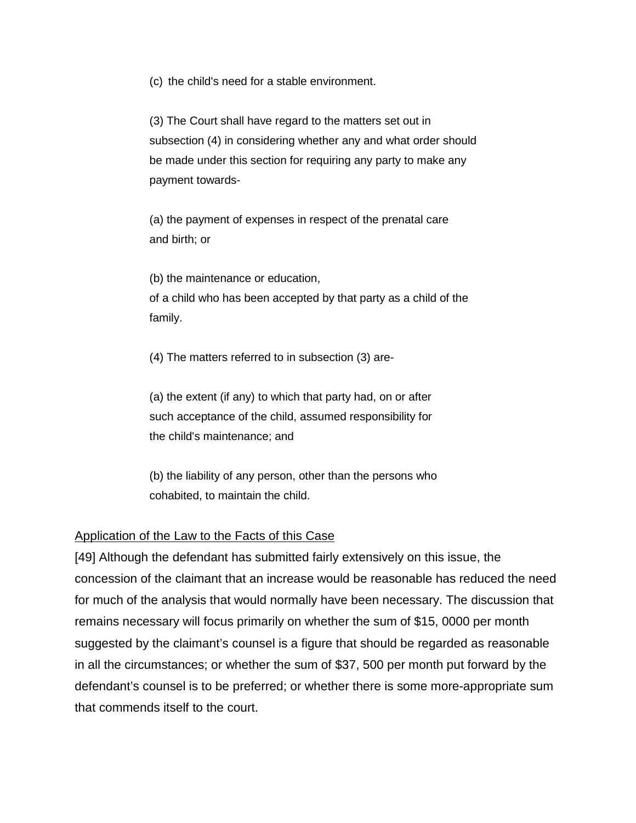(c) the child's need for a stable environment.

(3) The Court shall have regard to the matters set out in subsection (4) in considering whether any and what order should be made under this section for requiring any party to make any payment towards-

(a) the payment of expenses in respect of the prenatal care and birth; or

(b) the maintenance or education, of a child who has been accepted by that party as a child of the family.

(4) The matters referred to in subsection (3) are-

(a) the extent (if any) to which that party had, on or after such acceptance of the child, assumed responsibility for the child's maintenance; and

(b) the liability of any person, other than the persons who cohabited, to maintain the child.

## Application of the Law to the Facts of this Case

[49] Although the defendant has submitted fairly extensively on this issue, the concession of the claimant that an increase would be reasonable has reduced the need for much of the analysis that would normally have been necessary. The discussion that remains necessary will focus primarily on whether the sum of \$15, 0000 per month suggested by the claimant's counsel is a figure that should be regarded as reasonable in all the circumstances; or whether the sum of \$37, 500 per month put forward by the defendant's counsel is to be preferred; or whether there is some more-appropriate sum that commends itself to the court.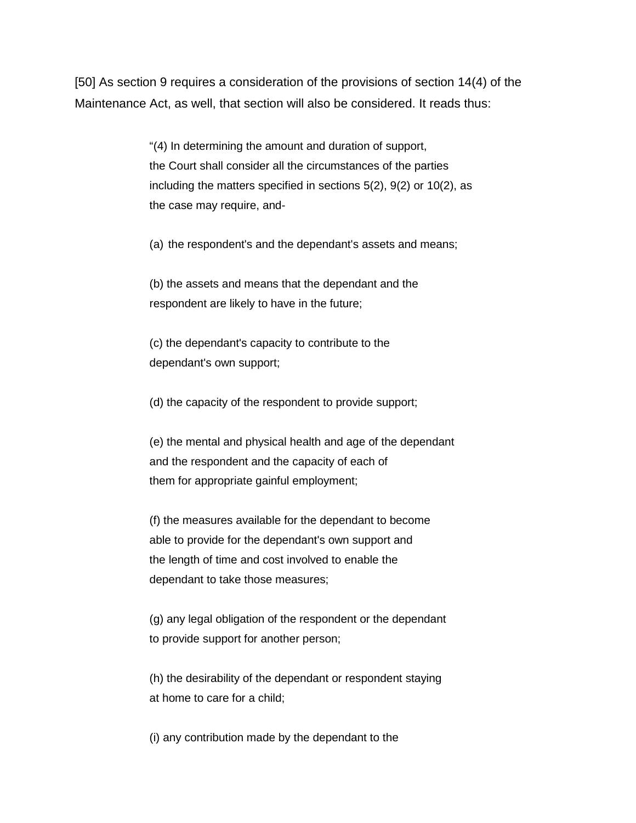[50] As section 9 requires a consideration of the provisions of section 14(4) of the Maintenance Act, as well, that section will also be considered. It reads thus:

> "(4) In determining the amount and duration of support, the Court shall consider all the circumstances of the parties including the matters specified in sections 5(2), 9(2) or 10(2), as the case may require, and-

(a) the respondent's and the dependant's assets and means;

(b) the assets and means that the dependant and the respondent are likely to have in the future;

(c) the dependant's capacity to contribute to the dependant's own support;

(d) the capacity of the respondent to provide support;

(e) the mental and physical health and age of the dependant and the respondent and the capacity of each of them for appropriate gainful employment;

(f) the measures available for the dependant to become able to provide for the dependant's own support and the length of time and cost involved to enable the dependant to take those measures;

(g) any legal obligation of the respondent or the dependant to provide support for another person;

(h) the desirability of the dependant or respondent staying at home to care for a child;

(i) any contribution made by the dependant to the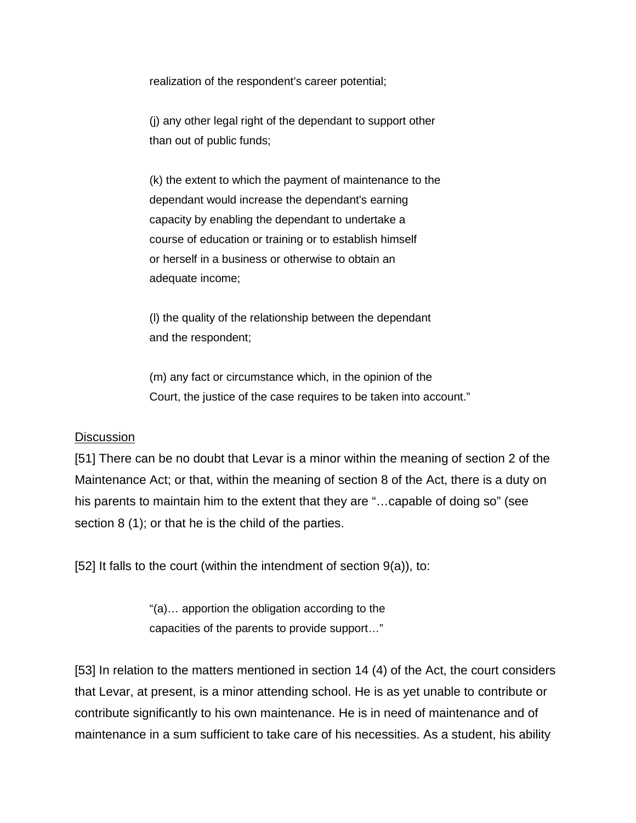realization of the respondent's career potential;

(j) any other legal right of the dependant to support other than out of public funds;

(k) the extent to which the payment of maintenance to the dependant would increase the dependant's earning capacity by enabling the dependant to undertake a course of education or training or to establish himself or herself in a business or otherwise to obtain an adequate income;

(l) the quality of the relationship between the dependant and the respondent;

(m) any fact or circumstance which, in the opinion of the Court, the justice of the case requires to be taken into account."

#### **Discussion**

[51] There can be no doubt that Levar is a minor within the meaning of section 2 of the Maintenance Act; or that, within the meaning of section 8 of the Act, there is a duty on his parents to maintain him to the extent that they are "...capable of doing so" (see section 8 (1); or that he is the child of the parties.

[52] It falls to the court (within the intendment of section  $9(a)$ ), to:

"(a)… apportion the obligation according to the capacities of the parents to provide support…"

[53] In relation to the matters mentioned in section 14 (4) of the Act, the court considers that Levar, at present, is a minor attending school. He is as yet unable to contribute or contribute significantly to his own maintenance. He is in need of maintenance and of maintenance in a sum sufficient to take care of his necessities. As a student, his ability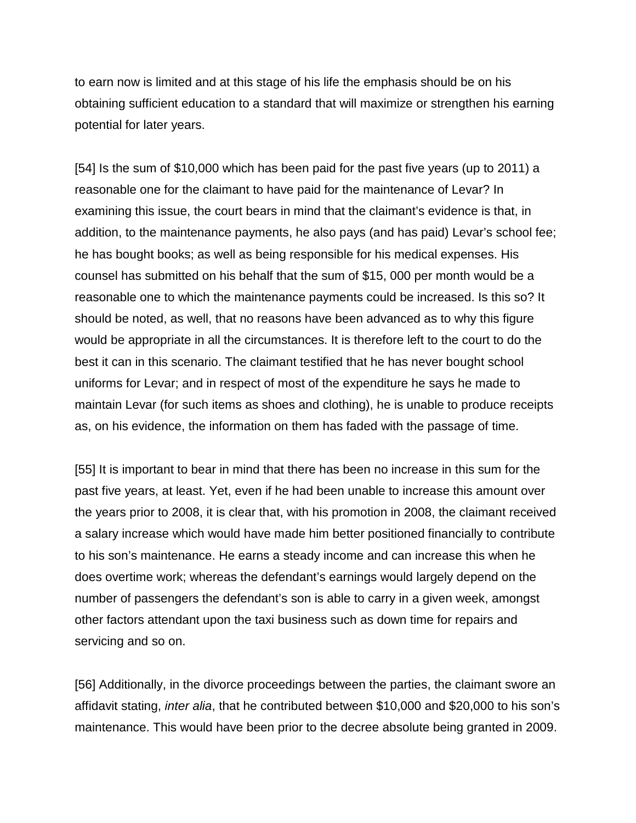to earn now is limited and at this stage of his life the emphasis should be on his obtaining sufficient education to a standard that will maximize or strengthen his earning potential for later years.

[54] Is the sum of \$10,000 which has been paid for the past five years (up to 2011) a reasonable one for the claimant to have paid for the maintenance of Levar? In examining this issue, the court bears in mind that the claimant's evidence is that, in addition, to the maintenance payments, he also pays (and has paid) Levar's school fee; he has bought books; as well as being responsible for his medical expenses. His counsel has submitted on his behalf that the sum of \$15, 000 per month would be a reasonable one to which the maintenance payments could be increased. Is this so? It should be noted, as well, that no reasons have been advanced as to why this figure would be appropriate in all the circumstances. It is therefore left to the court to do the best it can in this scenario. The claimant testified that he has never bought school uniforms for Levar; and in respect of most of the expenditure he says he made to maintain Levar (for such items as shoes and clothing), he is unable to produce receipts as, on his evidence, the information on them has faded with the passage of time.

[55] It is important to bear in mind that there has been no increase in this sum for the past five years, at least. Yet, even if he had been unable to increase this amount over the years prior to 2008, it is clear that, with his promotion in 2008, the claimant received a salary increase which would have made him better positioned financially to contribute to his son's maintenance. He earns a steady income and can increase this when he does overtime work; whereas the defendant's earnings would largely depend on the number of passengers the defendant's son is able to carry in a given week, amongst other factors attendant upon the taxi business such as down time for repairs and servicing and so on.

[56] Additionally, in the divorce proceedings between the parties, the claimant swore an affidavit stating, *inter alia*, that he contributed between \$10,000 and \$20,000 to his son's maintenance. This would have been prior to the decree absolute being granted in 2009.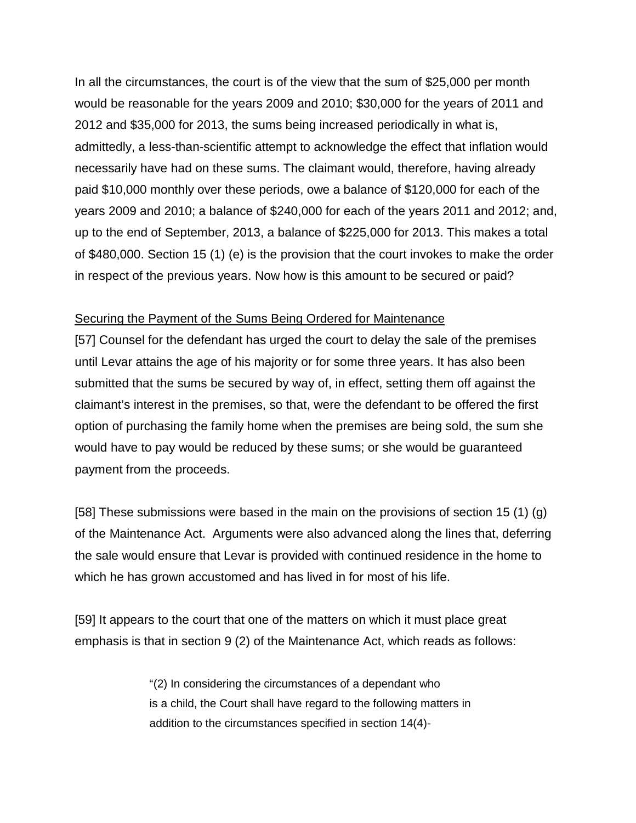In all the circumstances, the court is of the view that the sum of \$25,000 per month would be reasonable for the years 2009 and 2010; \$30,000 for the years of 2011 and 2012 and \$35,000 for 2013, the sums being increased periodically in what is, admittedly, a less-than-scientific attempt to acknowledge the effect that inflation would necessarily have had on these sums. The claimant would, therefore, having already paid \$10,000 monthly over these periods, owe a balance of \$120,000 for each of the years 2009 and 2010; a balance of \$240,000 for each of the years 2011 and 2012; and, up to the end of September, 2013, a balance of \$225,000 for 2013. This makes a total of \$480,000. Section 15 (1) (e) is the provision that the court invokes to make the order in respect of the previous years. Now how is this amount to be secured or paid?

#### Securing the Payment of the Sums Being Ordered for Maintenance

[57] Counsel for the defendant has urged the court to delay the sale of the premises until Levar attains the age of his majority or for some three years. It has also been submitted that the sums be secured by way of, in effect, setting them off against the claimant's interest in the premises, so that, were the defendant to be offered the first option of purchasing the family home when the premises are being sold, the sum she would have to pay would be reduced by these sums; or she would be guaranteed payment from the proceeds.

[58] These submissions were based in the main on the provisions of section 15 (1) (g) of the Maintenance Act. Arguments were also advanced along the lines that, deferring the sale would ensure that Levar is provided with continued residence in the home to which he has grown accustomed and has lived in for most of his life.

[59] It appears to the court that one of the matters on which it must place great emphasis is that in section 9 (2) of the Maintenance Act, which reads as follows:

> "(2) In considering the circumstances of a dependant who is a child, the Court shall have regard to the following matters in addition to the circumstances specified in section 14(4)-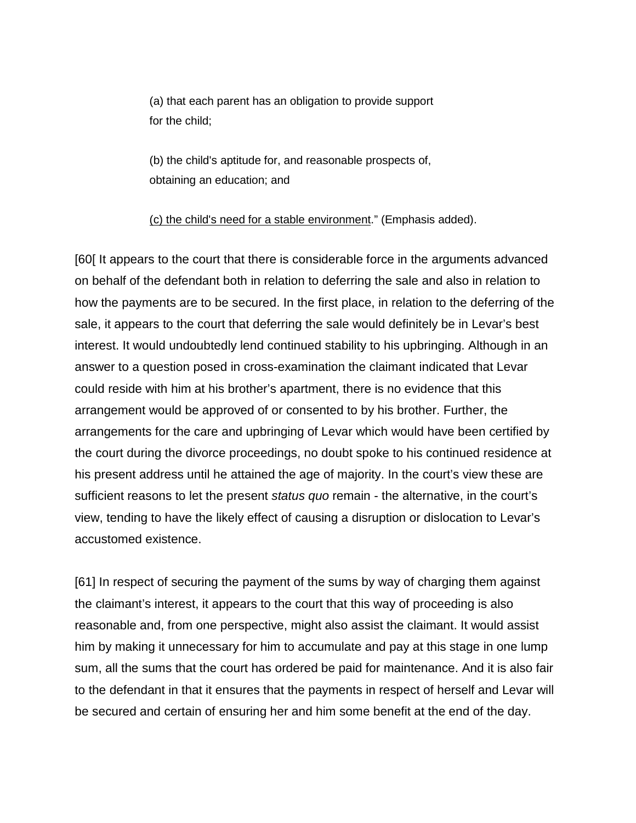(a) that each parent has an obligation to provide support for the child;

(b) the child's aptitude for, and reasonable prospects of, obtaining an education; and

#### (c) the child's need for a stable environment." (Emphasis added).

[60[ It appears to the court that there is considerable force in the arguments advanced on behalf of the defendant both in relation to deferring the sale and also in relation to how the payments are to be secured. In the first place, in relation to the deferring of the sale, it appears to the court that deferring the sale would definitely be in Levar's best interest. It would undoubtedly lend continued stability to his upbringing. Although in an answer to a question posed in cross-examination the claimant indicated that Levar could reside with him at his brother's apartment, there is no evidence that this arrangement would be approved of or consented to by his brother. Further, the arrangements for the care and upbringing of Levar which would have been certified by the court during the divorce proceedings, no doubt spoke to his continued residence at his present address until he attained the age of majority. In the court's view these are sufficient reasons to let the present *status quo* remain - the alternative, in the court's view, tending to have the likely effect of causing a disruption or dislocation to Levar's accustomed existence.

[61] In respect of securing the payment of the sums by way of charging them against the claimant's interest, it appears to the court that this way of proceeding is also reasonable and, from one perspective, might also assist the claimant. It would assist him by making it unnecessary for him to accumulate and pay at this stage in one lump sum, all the sums that the court has ordered be paid for maintenance. And it is also fair to the defendant in that it ensures that the payments in respect of herself and Levar will be secured and certain of ensuring her and him some benefit at the end of the day.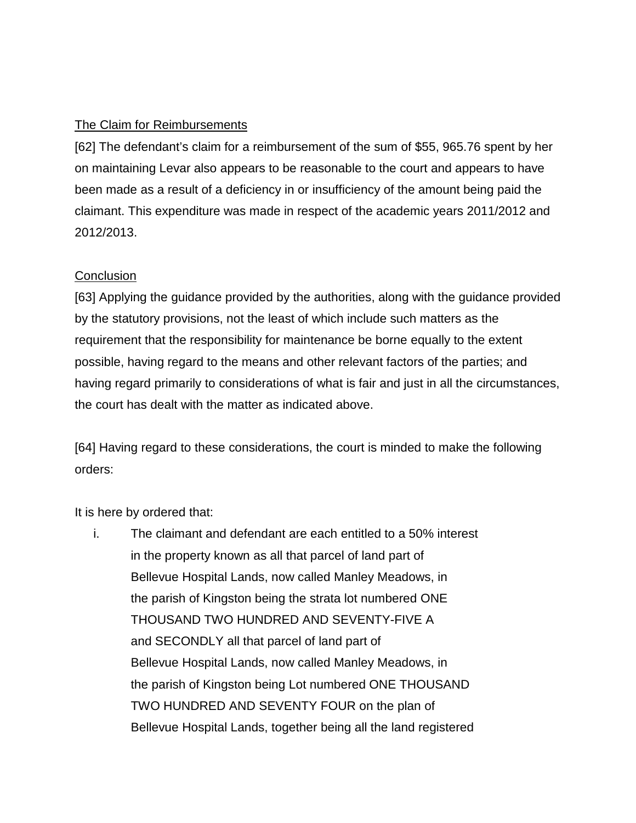# The Claim for Reimbursements

[62] The defendant's claim for a reimbursement of the sum of \$55, 965.76 spent by her on maintaining Levar also appears to be reasonable to the court and appears to have been made as a result of a deficiency in or insufficiency of the amount being paid the claimant. This expenditure was made in respect of the academic years 2011/2012 and 2012/2013.

# **Conclusion**

[63] Applying the guidance provided by the authorities, along with the guidance provided by the statutory provisions, not the least of which include such matters as the requirement that the responsibility for maintenance be borne equally to the extent possible, having regard to the means and other relevant factors of the parties; and having regard primarily to considerations of what is fair and just in all the circumstances, the court has dealt with the matter as indicated above.

[64] Having regard to these considerations, the court is minded to make the following orders:

It is here by ordered that:

i. The claimant and defendant are each entitled to a 50% interest in the property known as all that parcel of land part of Bellevue Hospital Lands, now called Manley Meadows, in the parish of Kingston being the strata lot numbered ONE THOUSAND TWO HUNDRED AND SEVENTY-FIVE A and SECONDLY all that parcel of land part of Bellevue Hospital Lands, now called Manley Meadows, in the parish of Kingston being Lot numbered ONE THOUSAND TWO HUNDRED AND SEVENTY FOUR on the plan of Bellevue Hospital Lands, together being all the land registered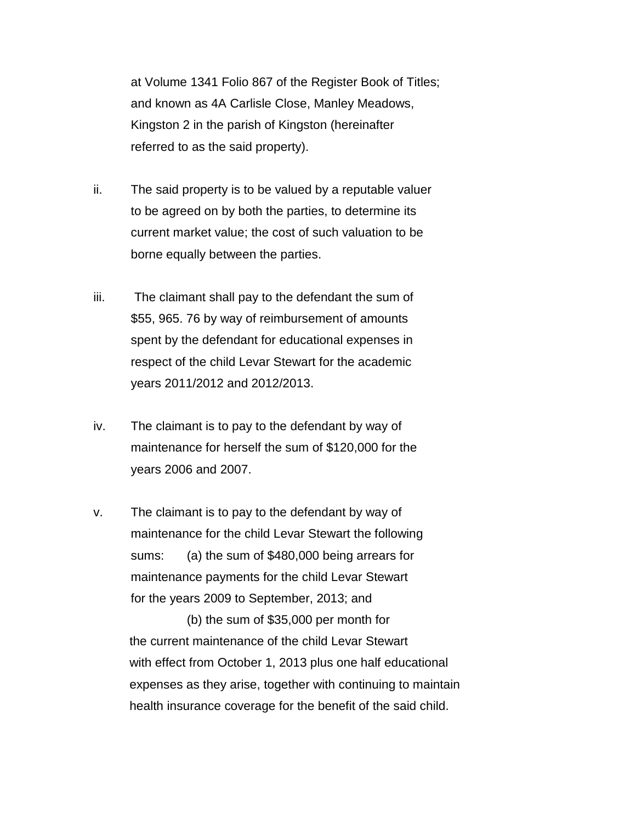at Volume 1341 Folio 867 of the Register Book of Titles; and known as 4A Carlisle Close, Manley Meadows, Kingston 2 in the parish of Kingston (hereinafter referred to as the said property).

- ii. The said property is to be valued by a reputable valuer to be agreed on by both the parties, to determine its current market value; the cost of such valuation to be borne equally between the parties.
- iii. The claimant shall pay to the defendant the sum of \$55, 965. 76 by way of reimbursement of amounts spent by the defendant for educational expenses in respect of the child Levar Stewart for the academic years 2011/2012 and 2012/2013.
- iv. The claimant is to pay to the defendant by way of maintenance for herself the sum of \$120,000 for the years 2006 and 2007.
- v. The claimant is to pay to the defendant by way of maintenance for the child Levar Stewart the following sums: (a) the sum of \$480,000 being arrears for maintenance payments for the child Levar Stewart for the years 2009 to September, 2013; and

(b) the sum of \$35,000 per month for the current maintenance of the child Levar Stewart with effect from October 1, 2013 plus one half educational expenses as they arise, together with continuing to maintain health insurance coverage for the benefit of the said child.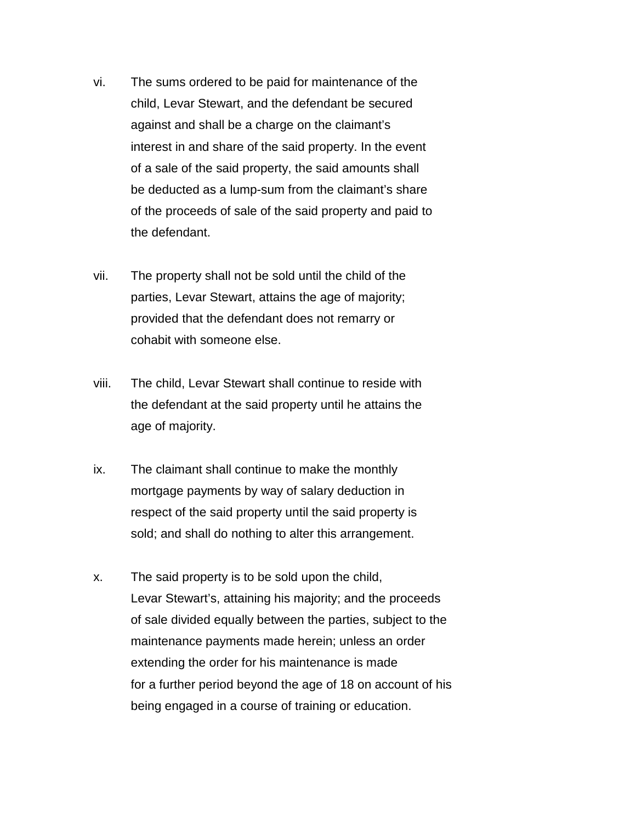- vi. The sums ordered to be paid for maintenance of the child, Levar Stewart, and the defendant be secured against and shall be a charge on the claimant's interest in and share of the said property. In the event of a sale of the said property, the said amounts shall be deducted as a lump-sum from the claimant's share of the proceeds of sale of the said property and paid to the defendant.
- vii. The property shall not be sold until the child of the parties, Levar Stewart, attains the age of majority; provided that the defendant does not remarry or cohabit with someone else.
- viii. The child, Levar Stewart shall continue to reside with the defendant at the said property until he attains the age of majority.
- ix. The claimant shall continue to make the monthly mortgage payments by way of salary deduction in respect of the said property until the said property is sold; and shall do nothing to alter this arrangement.
- x. The said property is to be sold upon the child, Levar Stewart's, attaining his majority; and the proceeds of sale divided equally between the parties, subject to the maintenance payments made herein; unless an order extending the order for his maintenance is made for a further period beyond the age of 18 on account of his being engaged in a course of training or education.